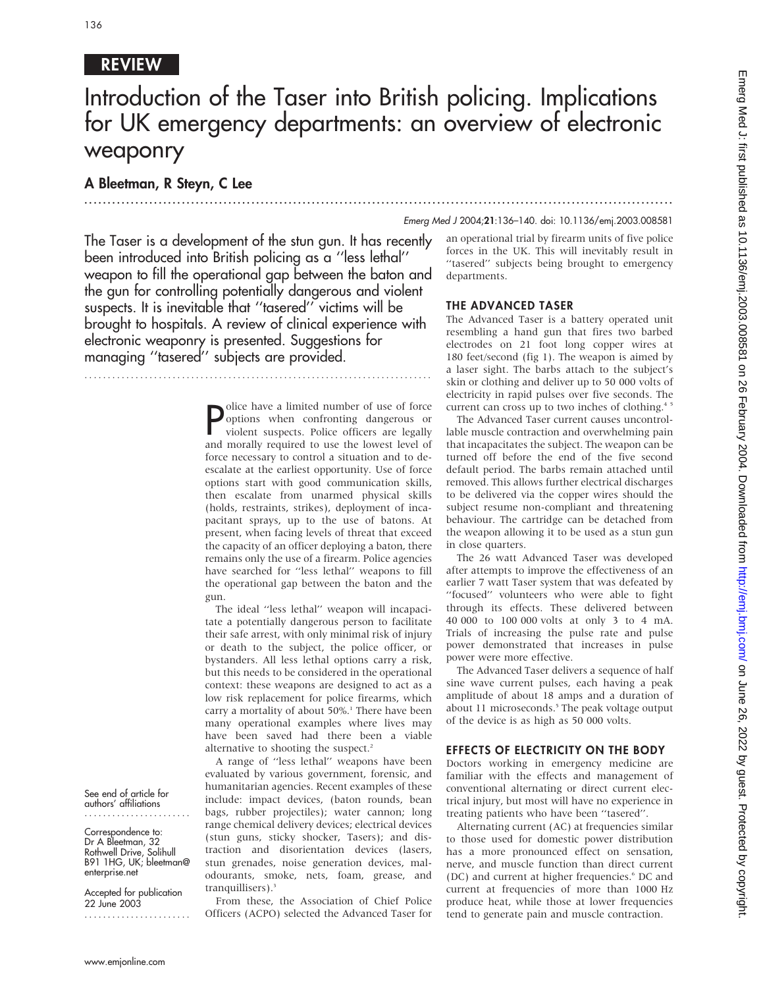# REVIEW

# Introduction of the Taser into British policing. Implications for UK emergency departments: an overview of electronic weaponry

.............................................................................................................................. .

# A Bleetman, R Steyn, C Lee

#### Emerg Med J 2004;21:136–140. doi: 10.1136/emj.2003.008581

The Taser is a development of the stun gun. It has recently been introduced into British policing as a ''less lethal'' weapon to fill the operational gap between the baton and the gun for controlling potentially dangerous and violent suspects. It is inevitable that ''tasered'' victims will be brought to hospitals. A review of clinical experience with electronic weaponry is presented. Suggestions for managing ''tasered'' subjects are provided.

...........................................................................

**P** olice have a limited number of use of force<br>
violent suspects. Police officers are legally<br>
and morally required to use the lowest level of olice have a limited number of use of force options when confronting dangerous or violent suspects. Police officers are legally force necessary to control a situation and to deescalate at the earliest opportunity. Use of force options start with good communication skills, then escalate from unarmed physical skills (holds, restraints, strikes), deployment of incapacitant sprays, up to the use of batons. At present, when facing levels of threat that exceed the capacity of an officer deploying a baton, there remains only the use of a firearm. Police agencies have searched for ''less lethal'' weapons to fill the operational gap between the baton and the gun.

The ideal ''less lethal'' weapon will incapacitate a potentially dangerous person to facilitate their safe arrest, with only minimal risk of injury or death to the subject, the police officer, or bystanders. All less lethal options carry a risk, but this needs to be considered in the operational context: these weapons are designed to act as a low risk replacement for police firearms, which carry a mortality of about 50%.<sup>1</sup> There have been many operational examples where lives may have been saved had there been a viable alternative to shooting the suspect.<sup>2</sup>

A range of ''less lethal'' weapons have been evaluated by various government, forensic, and humanitarian agencies. Recent examples of these include: impact devices, (baton rounds, bean bags, rubber projectiles); water cannon; long range chemical delivery devices; electrical devices (stun guns, sticky shocker, Tasers); and distraction and disorientation devices (lasers, stun grenades, noise generation devices, malodourants, smoke, nets, foam, grease, and tranquillisers).<sup>3</sup>

From these, the Association of Chief Police Officers (ACPO) selected the Advanced Taser for an operational trial by firearm units of five police forces in the UK. This will inevitably result in "tasered" subjects being brought to emergency departments.

## THE ADVANCED TASER

The Advanced Taser is a battery operated unit resembling a hand gun that fires two barbed electrodes on 21 foot long copper wires at 180 feet/second (fig 1). The weapon is aimed by a laser sight. The barbs attach to the subject's skin or clothing and deliver up to 50 000 volts of electricity in rapid pulses over five seconds. The current can cross up to two inches of clothing.<sup>45</sup>

The Advanced Taser current causes uncontrollable muscle contraction and overwhelming pain that incapacitates the subject. The weapon can be turned off before the end of the five second default period. The barbs remain attached until removed. This allows further electrical discharges to be delivered via the copper wires should the subject resume non-compliant and threatening behaviour. The cartridge can be detached from the weapon allowing it to be used as a stun gun in close quarters.

The 26 watt Advanced Taser was developed after attempts to improve the effectiveness of an earlier 7 watt Taser system that was defeated by "focused" volunteers who were able to fight through its effects. These delivered between 40 000 to 100 000 volts at only 3 to 4 mA. Trials of increasing the pulse rate and pulse power demonstrated that increases in pulse power were more effective.

The Advanced Taser delivers a sequence of half sine wave current pulses, each having a peak amplitude of about 18 amps and a duration of about 11 microseconds.<sup>5</sup> The peak voltage output of the device is as high as 50 000 volts.

# EFFECTS OF ELECTRICITY ON THE BODY

Doctors working in emergency medicine are familiar with the effects and management of conventional alternating or direct current electrical injury, but most will have no experience in treating patients who have been ''tasered''.

Alternating current (AC) at frequencies similar to those used for domestic power distribution has a more pronounced effect on sensation, nerve, and muscle function than direct current (DC) and current at higher frequencies.<sup>6</sup> DC and current at frequencies of more than 1000 Hz produce heat, while those at lower frequencies tend to generate pain and muscle contraction.

See end of article for authors' affiliations .......................

Correspondence to: Dr A Bleetman, 32 Rothwell Drive, Solihull B91 1HG, UK; bleetman@ enterprise.net

Accepted for publication 22 June 2003 .......................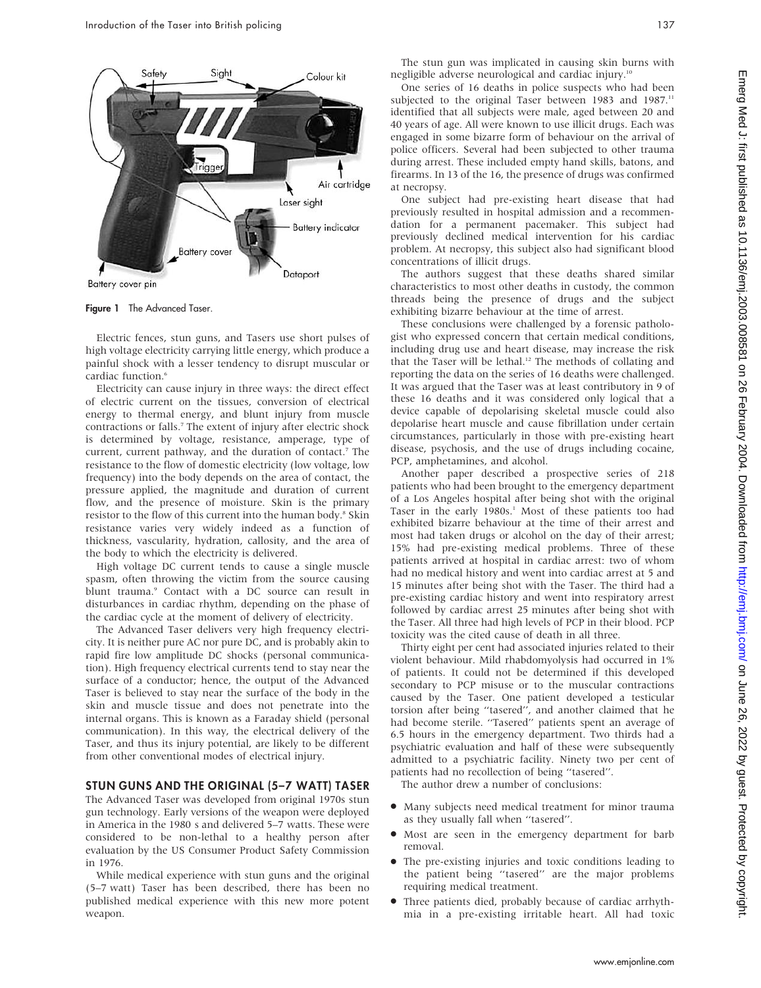

Figure 1 The Advanced Taser.

Electric fences, stun guns, and Tasers use short pulses of high voltage electricity carrying little energy, which produce a painful shock with a lesser tendency to disrupt muscular or cardiac function.<sup>6</sup>

Electricity can cause injury in three ways: the direct effect of electric current on the tissues, conversion of electrical energy to thermal energy, and blunt injury from muscle contractions or falls.<sup>7</sup> The extent of injury after electric shock is determined by voltage, resistance, amperage, type of current, current pathway, and the duration of contact.<sup>7</sup> The resistance to the flow of domestic electricity (low voltage, low frequency) into the body depends on the area of contact, the pressure applied, the magnitude and duration of current flow, and the presence of moisture. Skin is the primary resistor to the flow of this current into the human body.<sup>8</sup> Skin resistance varies very widely indeed as a function of thickness, vascularity, hydration, callosity, and the area of the body to which the electricity is delivered.

High voltage DC current tends to cause a single muscle spasm, often throwing the victim from the source causing blunt trauma.<sup>9</sup> Contact with a DC source can result in disturbances in cardiac rhythm, depending on the phase of the cardiac cycle at the moment of delivery of electricity.

The Advanced Taser delivers very high frequency electricity. It is neither pure AC nor pure DC, and is probably akin to rapid fire low amplitude DC shocks (personal communication). High frequency electrical currents tend to stay near the surface of a conductor; hence, the output of the Advanced Taser is believed to stay near the surface of the body in the skin and muscle tissue and does not penetrate into the internal organs. This is known as a Faraday shield (personal communication). In this way, the electrical delivery of the Taser, and thus its injury potential, are likely to be different from other conventional modes of electrical injury.

## STUN GUNS AND THE ORIGINAL (5–7 WATT) TASER

The Advanced Taser was developed from original 1970s stun gun technology. Early versions of the weapon were deployed in America in the 1980 s and delivered 5–7 watts. These were considered to be non-lethal to a healthy person after evaluation by the US Consumer Product Safety Commission in 1976.

While medical experience with stun guns and the original (5–7 watt) Taser has been described, there has been no published medical experience with this new more potent weapon.

Emerg Med J. first published as 10.1136/emj.2003.008581 on 26 February 2004. Downloaded from bmj.com/ on June 26, 2022 by guest. Protected by copyright.

Emerg Med J: first published as 10.1136/emj.2003.008581 on 26 February 2004. Downloaded from http://emj.com/ on June 26, 2022 by guest. Protected by copyright

The stun gun was implicated in causing skin burns with negligible adverse neurological and cardiac injury.10

One series of 16 deaths in police suspects who had been subjected to the original Taser between 1983 and 1987.<sup>11</sup> identified that all subjects were male, aged between 20 and 40 years of age. All were known to use illicit drugs. Each was engaged in some bizarre form of behaviour on the arrival of police officers. Several had been subjected to other trauma during arrest. These included empty hand skills, batons, and firearms. In 13 of the 16, the presence of drugs was confirmed at necropsy.

One subject had pre-existing heart disease that had previously resulted in hospital admission and a recommendation for a permanent pacemaker. This subject had previously declined medical intervention for his cardiac problem. At necropsy, this subject also had significant blood concentrations of illicit drugs.

The authors suggest that these deaths shared similar characteristics to most other deaths in custody, the common threads being the presence of drugs and the subject exhibiting bizarre behaviour at the time of arrest.

These conclusions were challenged by a forensic pathologist who expressed concern that certain medical conditions, including drug use and heart disease, may increase the risk that the Taser will be lethal.<sup>12</sup> The methods of collating and reporting the data on the series of 16 deaths were challenged. It was argued that the Taser was at least contributory in 9 of these 16 deaths and it was considered only logical that a device capable of depolarising skeletal muscle could also depolarise heart muscle and cause fibrillation under certain circumstances, particularly in those with pre-existing heart disease, psychosis, and the use of drugs including cocaine, PCP, amphetamines, and alcohol.

Another paper described a prospective series of 218 patients who had been brought to the emergency department of a Los Angeles hospital after being shot with the original Taser in the early 1980s.<sup>1</sup> Most of these patients too had exhibited bizarre behaviour at the time of their arrest and most had taken drugs or alcohol on the day of their arrest; 15% had pre-existing medical problems. Three of these patients arrived at hospital in cardiac arrest: two of whom had no medical history and went into cardiac arrest at 5 and 15 minutes after being shot with the Taser. The third had a pre-existing cardiac history and went into respiratory arrest followed by cardiac arrest 25 minutes after being shot with the Taser. All three had high levels of PCP in their blood. PCP toxicity was the cited cause of death in all three.

Thirty eight per cent had associated injuries related to their violent behaviour. Mild rhabdomyolysis had occurred in 1% of patients. It could not be determined if this developed secondary to PCP misuse or to the muscular contractions caused by the Taser. One patient developed a testicular torsion after being ''tasered'', and another claimed that he had become sterile. ''Tasered'' patients spent an average of 6.5 hours in the emergency department. Two thirds had a psychiatric evaluation and half of these were subsequently admitted to a psychiatric facility. Ninety two per cent of patients had no recollection of being ''tasered''.

The author drew a number of conclusions:

- Many subjects need medical treatment for minor trauma as they usually fall when ''tasered''.
- $\bullet$  Most are seen in the emergency department for barb removal.
- The pre-existing injuries and toxic conditions leading to the patient being ''tasered'' are the major problems requiring medical treatment.
- Three patients died, probably because of cardiac arrhythmia in a pre-existing irritable heart. All had toxic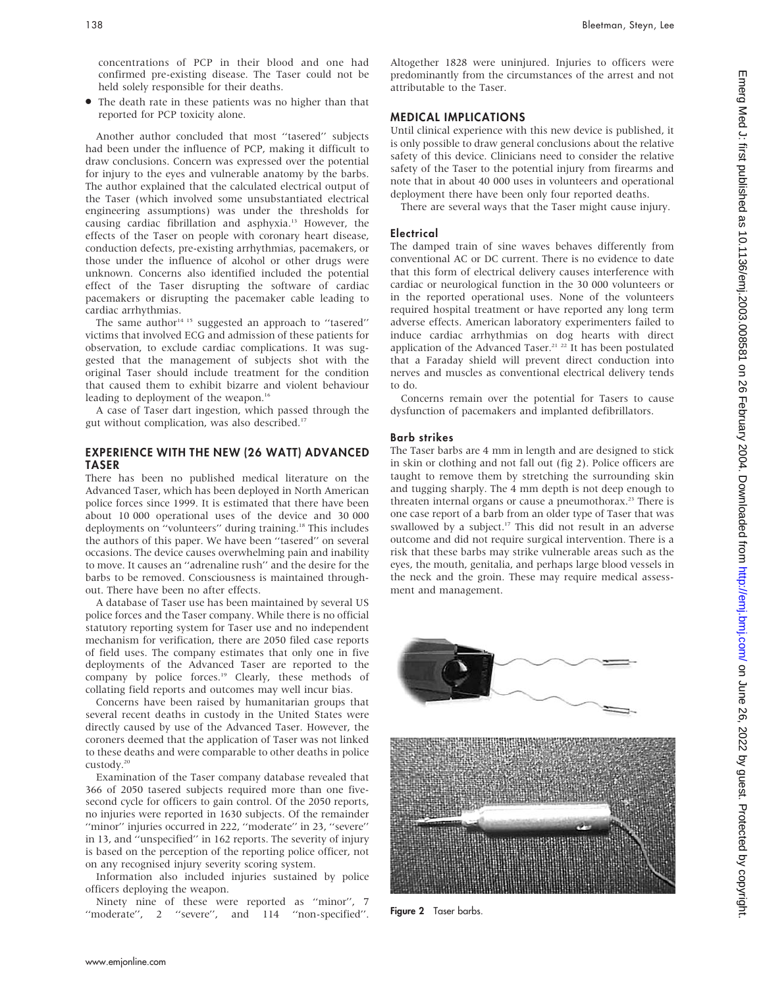concentrations of PCP in their blood and one had confirmed pre-existing disease. The Taser could not be held solely responsible for their deaths.

• The death rate in these patients was no higher than that reported for PCP toxicity alone.

Another author concluded that most ''tasered'' subjects had been under the influence of PCP, making it difficult to draw conclusions. Concern was expressed over the potential for injury to the eyes and vulnerable anatomy by the barbs. The author explained that the calculated electrical output of the Taser (which involved some unsubstantiated electrical engineering assumptions) was under the thresholds for causing cardiac fibrillation and asphyxia.<sup>13</sup> However, the effects of the Taser on people with coronary heart disease, conduction defects, pre-existing arrhythmias, pacemakers, or those under the influence of alcohol or other drugs were unknown. Concerns also identified included the potential effect of the Taser disrupting the software of cardiac pacemakers or disrupting the pacemaker cable leading to cardiac arrhythmias.

The same author<sup>14 15</sup> suggested an approach to "tasered" victims that involved ECG and admission of these patients for observation, to exclude cardiac complications. It was suggested that the management of subjects shot with the original Taser should include treatment for the condition that caused them to exhibit bizarre and violent behaviour leading to deployment of the weapon.<sup>16</sup>

A case of Taser dart ingestion, which passed through the gut without complication, was also described.<sup>17</sup>

# EXPERIENCE WITH THE NEW (26 WATT) ADVANCED TASER

There has been no published medical literature on the Advanced Taser, which has been deployed in North American police forces since 1999. It is estimated that there have been about 10 000 operational uses of the device and 30 000 deployments on "volunteers" during training.<sup>18</sup> This includes the authors of this paper. We have been ''tasered'' on several occasions. The device causes overwhelming pain and inability to move. It causes an ''adrenaline rush'' and the desire for the barbs to be removed. Consciousness is maintained throughout. There have been no after effects.

A database of Taser use has been maintained by several US police forces and the Taser company. While there is no official statutory reporting system for Taser use and no independent mechanism for verification, there are 2050 filed case reports of field uses. The company estimates that only one in five deployments of the Advanced Taser are reported to the company by police forces.<sup>19</sup> Clearly, these methods of collating field reports and outcomes may well incur bias.

Concerns have been raised by humanitarian groups that several recent deaths in custody in the United States were directly caused by use of the Advanced Taser. However, the coroners deemed that the application of Taser was not linked to these deaths and were comparable to other deaths in police custody.<sup>20</sup>

Examination of the Taser company database revealed that 366 of 2050 tasered subjects required more than one fivesecond cycle for officers to gain control. Of the 2050 reports, no injuries were reported in 1630 subjects. Of the remainder ''minor'' injuries occurred in 222, ''moderate'' in 23, ''severe'' in 13, and ''unspecified'' in 162 reports. The severity of injury is based on the perception of the reporting police officer, not on any recognised injury severity scoring system.

Information also included injuries sustained by police officers deploying the weapon.

Ninety nine of these were reported as ''minor'', 7 "moderate", 2 "severe", and 114 "non-specified". Altogether 1828 were uninjured. Injuries to officers were predominantly from the circumstances of the arrest and not attributable to the Taser.

# MEDICAL IMPLICATIONS

Until clinical experience with this new device is published, it is only possible to draw general conclusions about the relative safety of this device. Clinicians need to consider the relative safety of the Taser to the potential injury from firearms and note that in about 40 000 uses in volunteers and operational deployment there have been only four reported deaths.

There are several ways that the Taser might cause injury.

#### Electrical

The damped train of sine waves behaves differently from conventional AC or DC current. There is no evidence to date that this form of electrical delivery causes interference with cardiac or neurological function in the 30 000 volunteers or in the reported operational uses. None of the volunteers required hospital treatment or have reported any long term adverse effects. American laboratory experimenters failed to induce cardiac arrhythmias on dog hearts with direct application of the Advanced Taser.<sup>21</sup> <sup>22</sup> It has been postulated that a Faraday shield will prevent direct conduction into nerves and muscles as conventional electrical delivery tends to do.

Concerns remain over the potential for Tasers to cause dysfunction of pacemakers and implanted defibrillators.

#### Barb strikes

The Taser barbs are 4 mm in length and are designed to stick in skin or clothing and not fall out (fig 2). Police officers are taught to remove them by stretching the surrounding skin and tugging sharply. The 4 mm depth is not deep enough to threaten internal organs or cause a pneumothorax.<sup>23</sup> There is one case report of a barb from an older type of Taser that was swallowed by a subject.<sup>17</sup> This did not result in an adverse outcome and did not require surgical intervention. There is a risk that these barbs may strike vulnerable areas such as the eyes, the mouth, genitalia, and perhaps large blood vessels in the neck and the groin. These may require medical assessment and management.



Figure 2 Taser barbs.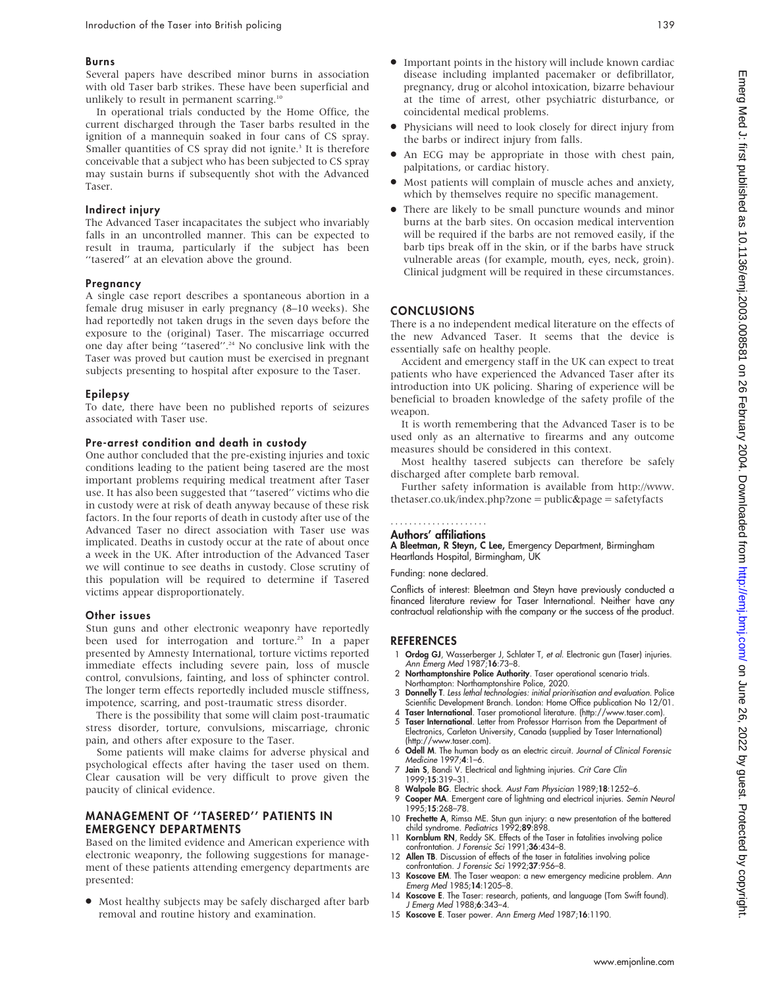#### Burns

Several papers have described minor burns in association with old Taser barb strikes. These have been superficial and unlikely to result in permanent scarring.<sup>10</sup>

In operational trials conducted by the Home Office, the current discharged through the Taser barbs resulted in the ignition of a mannequin soaked in four cans of CS spray. Smaller quantities of CS spray did not ignite.<sup>3</sup> It is therefore conceivable that a subject who has been subjected to CS spray may sustain burns if subsequently shot with the Advanced Taser.

#### Indirect injury

The Advanced Taser incapacitates the subject who invariably falls in an uncontrolled manner. This can be expected to result in trauma, particularly if the subject has been ''tasered'' at an elevation above the ground.

#### **Pregnancy**

A single case report describes a spontaneous abortion in a female drug misuser in early pregnancy (8–10 weeks). She had reportedly not taken drugs in the seven days before the exposure to the (original) Taser. The miscarriage occurred one day after being ''tasered''.24 No conclusive link with the Taser was proved but caution must be exercised in pregnant subjects presenting to hospital after exposure to the Taser.

#### Epilepsy

To date, there have been no published reports of seizures associated with Taser use.

#### Pre-arrest condition and death in custody

One author concluded that the pre-existing injuries and toxic conditions leading to the patient being tasered are the most important problems requiring medical treatment after Taser use. It has also been suggested that ''tasered'' victims who die in custody were at risk of death anyway because of these risk factors. In the four reports of death in custody after use of the Advanced Taser no direct association with Taser use was implicated. Deaths in custody occur at the rate of about once a week in the UK. After introduction of the Advanced Taser we will continue to see deaths in custody. Close scrutiny of this population will be required to determine if Tasered victims appear disproportionately.

#### Other issues

Stun guns and other electronic weaponry have reportedly been used for interrogation and torture.<sup>25</sup> In a paper presented by Amnesty International, torture victims reported immediate effects including severe pain, loss of muscle control, convulsions, fainting, and loss of sphincter control. The longer term effects reportedly included muscle stiffness, impotence, scarring, and post-traumatic stress disorder.

There is the possibility that some will claim post-traumatic stress disorder, torture, convulsions, miscarriage, chronic pain, and others after exposure to the Taser.

Some patients will make claims for adverse physical and psychological effects after having the taser used on them. Clear causation will be very difficult to prove given the paucity of clinical evidence.

## MANAGEMENT OF ''TASERED'' PATIENTS IN EMERGENCY DEPARTMENTS

Based on the limited evidence and American experience with electronic weaponry, the following suggestions for management of these patients attending emergency departments are presented:

• Most healthy subjects may be safely discharged after barb removal and routine history and examination.

- $\bullet$  Important points in the history will include known cardiac disease including implanted pacemaker or defibrillator, pregnancy, drug or alcohol intoxication, bizarre behaviour at the time of arrest, other psychiatric disturbance, or coincidental medical problems.
- N Physicians will need to look closely for direct injury from the barbs or indirect injury from falls.
- An ECG may be appropriate in those with chest pain, palpitations, or cardiac history.
- N Most patients will complain of muscle aches and anxiety, which by themselves require no specific management.
- There are likely to be small puncture wounds and minor burns at the barb sites. On occasion medical intervention will be required if the barbs are not removed easily, if the barb tips break off in the skin, or if the barbs have struck vulnerable areas (for example, mouth, eyes, neck, groin). Clinical judgment will be required in these circumstances.

#### CONCLUSIONS

There is a no independent medical literature on the effects of the new Advanced Taser. It seems that the device is essentially safe on healthy people.

Accident and emergency staff in the UK can expect to treat patients who have experienced the Advanced Taser after its introduction into UK policing. Sharing of experience will be beneficial to broaden knowledge of the safety profile of the weapon.

It is worth remembering that the Advanced Taser is to be used only as an alternative to firearms and any outcome measures should be considered in this context.

Most healthy tasered subjects can therefore be safely discharged after complete barb removal.

Further safety information is available from http://www. thetaser.co.uk/index.php?zone = public&page = safetyfacts

#### Authors' affiliations .....................

A Bleetman, R Steyn, C Lee, Emergency Department, Birmingham Heartlands Hospital, Birmingham, UK

Funding: none declared.

Conflicts of interest: Bleetman and Steyn have previously conducted a financed literature review for Taser International. Neither have any contractual relationship with the company or the success of the product.

#### **REFERENCES**

- 1 **Ordog GJ**, Wasserberger J, Schlater T, *et al.* Electronic gun (Taser) injuries.<br>Ann Emerg Med 1987;**16**:73–8.
- 2 Northamptonshire Police Authority. Taser operational scenario trials. Northampton: Northamptonshire Police, 2020.
- 3 Donnelly T. Less lethal technologies: initial prioritisation and evaluation. Police Scientific Development Branch. London: Home Office publication No 12/01.
- 4 Taser International. Taser promotional literature. (http://www.taser.com). 5 Taser International. Letter from Professor Harrison from the Department of Electronics, Carleton University, Canada (supplied by Taser International) (http://www.taser.com).
- 6 Odell M. The human body as an electric circuit. Journal of Clinical Forensic Medicine 1997;4:1–6.
- 7 Jain S, Bandi V. Electrical and lightning injuries. Crit Care Clin 1999;15:319–31.
- 8 Walpole BG. Electric shock. Aust Fam Physician 1989;18:1252–6.
- Cooper MA. Emergent care of lightning and electrical injuries. Semin Neurol 1995;15:268–78.
- 10 Frechette A, Rimsa ME. Stun gun injury: a new presentation of the battered child syndrome. Pediatrics 1992;89:898.
- 11 Kornblum RN, Reddy SK. Effects of the Taser in fatalities involving police confrontation. J Forensic Sci 1991;36:434–8. 12 Allen TB. Discussion of effects of the taser in fatalities involving police
- confrontation. J Forensic Sci 1992;37:956-8. 13 Koscove EM. The Taser weapon: a new emergency medicine problem. Ann
- Emerg Med 1985;14:1205–8. 14 Koscove E. The Taser: research, patients, and language (Tom Swift found).
- J Emerg Med 1988;6:343–4. 15 Koscove E. Taser power. Ann Emerg Med 1987;16:1190.